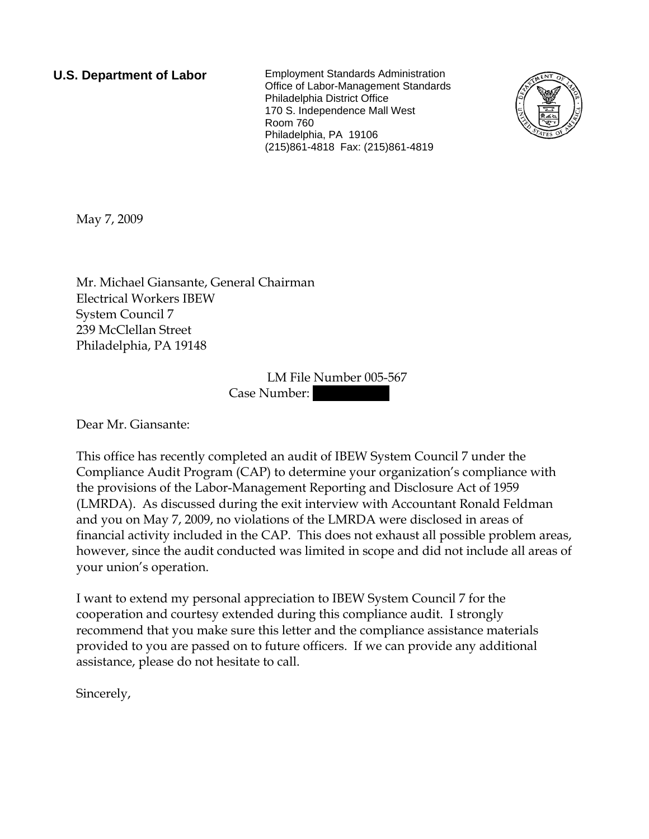**U.S. Department of Labor** Employment Standards Administration Office of Labor-Management Standards Philadelphia District Office 170 S. Independence Mall West Room 760 Philadelphia, PA 19106 (215)861-4818 Fax: (215)861-4819



May 7, 2009

Mr. Michael Giansante, General Chairman Electrical Workers IBEW System Council 7 239 McClellan Street Philadelphia, PA 19148

> LM File Number 005-567 Case Number:

Dear Mr. Giansante:

This office has recently completed an audit of IBEW System Council 7 under the Compliance Audit Program (CAP) to determine your organization's compliance with the provisions of the Labor-Management Reporting and Disclosure Act of 1959 (LMRDA). As discussed during the exit interview with Accountant Ronald Feldman and you on May 7, 2009, no violations of the LMRDA were disclosed in areas of financial activity included in the CAP. This does not exhaust all possible problem areas, however, since the audit conducted was limited in scope and did not include all areas of your union's operation.

I want to extend my personal appreciation to IBEW System Council 7 for the cooperation and courtesy extended during this compliance audit. I strongly recommend that you make sure this letter and the compliance assistance materials provided to you are passed on to future officers. If we can provide any additional assistance, please do not hesitate to call.

Sincerely,